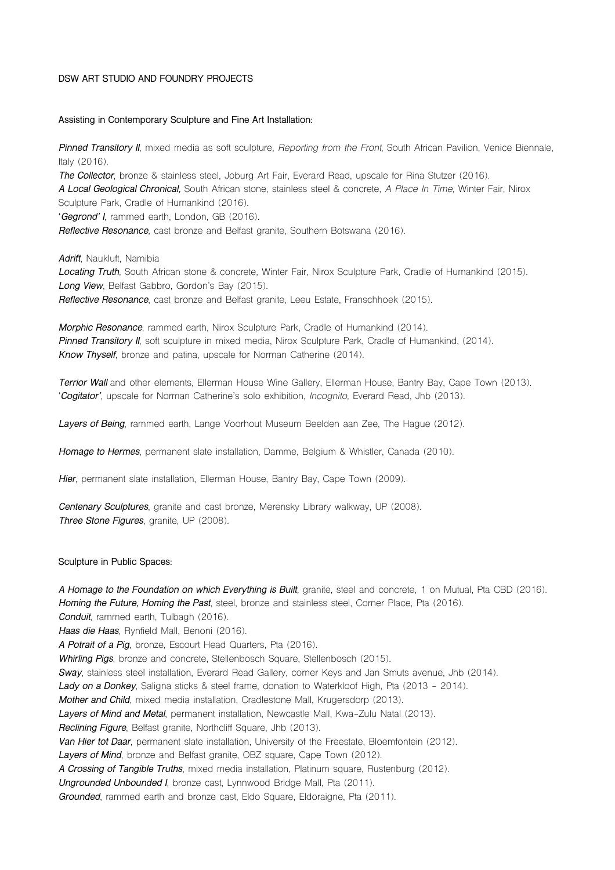#### **DSW ART STUDIO AND FOUNDRY PROJECTS**

#### **Assisting in Contemporary Sculpture and Fine Art Installation:**

*Pinned Transitory II*, mixed media as soft sculpture, *Reporting from the Front*, South African Pavilion, Venice Biennale, Italy (2016).

*The Collector*, bronze & stainless steel, Joburg Art Fair, Everard Read, upscale for Rina Stutzer (2016). *A Local Geological Chronical,* South African stone, stainless steel & concrete, *A Place In Time,* Winter Fair, Nirox Sculpture Park, Cradle of Humankind (2016).

**'***Gegrond' I*, rammed earth, London, GB (2016).

*Reflective Resonance,* cast bronze and Belfast granite, Southern Botswana (2016).

*Adrift*, Naukluft, Namibia

*Locating Truth,* South African stone & concrete*,* Winter Fair, Nirox Sculpture Park, Cradle of Humankind (2015). *Long View*, Belfast Gabbro, Gordon's Bay (2015). *Reflective Resonance*, cast bronze and Belfast granite, Leeu Estate, Franschhoek (2015).

*Morphic Resonance*, rammed earth, Nirox Sculpture Park, Cradle of Humankind (2014). **Pinned Transitory** *II*, soft sculpture in mixed media, Nirox Sculpture Park, Cradle of Humankind, (2014). *Know Thyself*, bronze and patina, upscale for Norman Catherine (2014).

*Terrior Wall* and other elements, Ellerman House Wine Gallery, Ellerman House, Bantry Bay, Cape Town (2013). '*Cogitator'*, upscale for Norman Catherine's solo exhibition, *Incognito,* Everard Read, Jhb (2013).

*Layers of Being*, rammed earth, Lange Voorhout Museum Beelden aan Zee, The Hague (2012).

*Homage to Hermes*, permanent slate installation, Damme, Belgium & Whistler, Canada (2010).

*Hier*, permanent slate installation, Ellerman House, Bantry Bay, Cape Town (2009).

*Centenary Sculptures*, granite and cast bronze, Merensky Library walkway, UP (2008). *Three Stone Figures*, granite, UP (2008).

**Sculpture in Public Spaces:**

*A Homage to the Foundation on which Everything is Built,* granite, steel and concrete, 1 on Mutual, Pta CBD (2016). *Homing the Future, Homing the Past*, steel, bronze and stainless steel, Corner Place, Pta (2016). *Conduit*, rammed earth, Tulbagh (2016). *Haas die Haas*, Rynfield Mall, Benoni (2016). *A Potrait of a Pig*, bronze, Escourt Head Quarters, Pta (2016). *Whirling Pigs*, bronze and concrete, Stellenbosch Square, Stellenbosch (2015). *Sway*, stainless steel installation, Everard Read Gallery, corner Keys and Jan Smuts avenue, Jhb (2014). *Lady on a Donkey*, Saligna sticks & steel frame, donation to Waterkloof High, Pta (2013 - 2014). *Mother and Child*, mixed media installation, Cradlestone Mall, Krugersdorp (2013). *Layers of Mind and Metal*, permanent installation, Newcastle Mall, Kwa-Zulu Natal (2013). *Reclining Figure*, Belfast granite, Northcliff Square, Jhb (2013). *Van Hier tot Daar*, permanent slate installation, University of the Freestate, Bloemfontein (2012). *Layers of Mind*, bronze and Belfast granite, OBZ square, Cape Town (2012). *A Crossing of Tangible Truths*, mixed media installation, Platinum square, Rustenburg (2012). *Ungrounded Unbounded I,* bronze cast, Lynnwood Bridge Mall, Pta (2011). *Grounded*, rammed earth and bronze cast, Eldo Square, Eldoraigne, Pta (2011).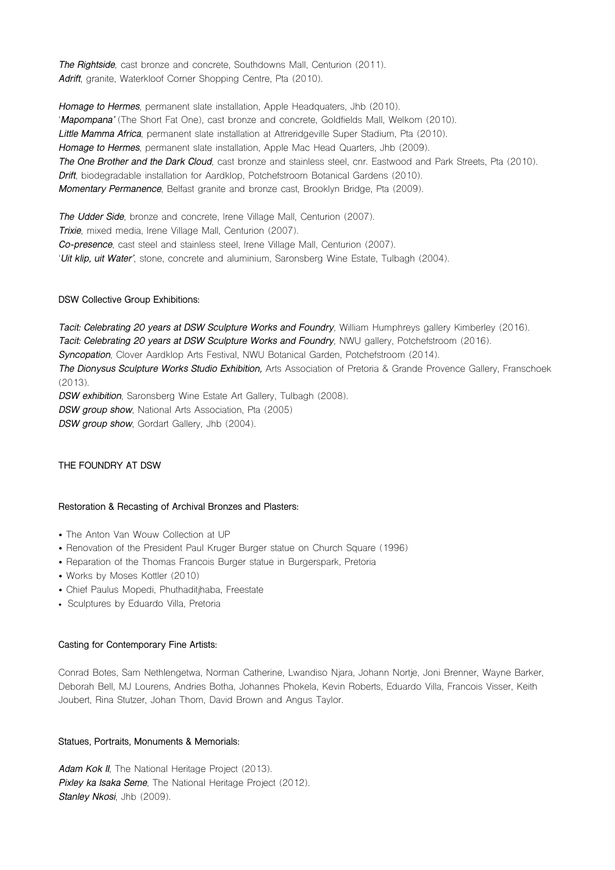*The Rightside*, cast bronze and concrete, Southdowns Mall, Centurion (2011). *Adrift*, granite, Waterkloof Corner Shopping Centre, Pta (2010).

*Homage to Hermes*, permanent slate installation, Apple Headquaters, Jhb (2010). '*Mapompana'* (The Short Fat One), cast bronze and concrete, Goldfields Mall, Welkom (2010). *Little Mamma Africa*, permanent slate installation at Attreridgeville Super Stadium, Pta (2010). *Homage to Hermes*, permanent slate installation, Apple Mac Head Quarters, Jhb (2009). *The One Brother and the Dark Cloud*, cast bronze and stainless steel, cnr. Eastwood and Park Streets, Pta (2010). *Drift*, biodegradable installation for Aardklop, Potchefstroom Botanical Gardens (2010). *Momentary Permanence*, Belfast granite and bronze cast, Brooklyn Bridge, Pta (2009).

*The Udder Side*, bronze and concrete, Irene Village Mall, Centurion (2007). *Trixie*, mixed media, Irene Village Mall, Centurion (2007). *Co-presence*, cast steel and stainless steel, Irene Village Mall, Centurion (2007). '*Uit klip, uit Water'*, stone, concrete and aluminium, Saronsberg Wine Estate, Tulbagh (2004).

# **DSW Collective Group Exhibitions:**

*Tacit: Celebrating 20 years at DSW Sculpture Works and Foundry,* William Humphreys gallery Kimberley (2016). *Tacit: Celebrating 20 years at DSW Sculpture Works and Foundry,* NWU gallery, Potchefstroom (2016). *Syncopation*, Clover Aardklop Arts Festival, NWU Botanical Garden, Potchefstroom (2014). *The Dionysus Sculpture Works Studio Exhibition,* Arts Association of Pretoria & Grande Provence Gallery, Franschoek (2013). *DSW exhibition*, Saronsberg Wine Estate Art Gallery, Tulbagh (2008). *DSW group show*, National Arts Association, Pta (2005)

*DSW group show*, Gordart Gallery, Jhb (2004).

## **THE FOUNDRY AT DSW**

## **Restoration & Recasting of Archival Bronzes and Plasters:**

- The Anton Van Wouw Collection at UP
- Renovation of the President Paul Kruger Burger statue on Church Square (1996)
- Reparation of the Thomas Francois Burger statue in Burgerspark, Pretoria
- Works by Moses Kottler (2010)
- Chief Paulus Mopedi, Phuthaditjhaba, Freestate
- Sculptures by Eduardo Villa, Pretoria

#### **Casting for Contemporary Fine Artists:**

Conrad Botes, Sam Nethlengetwa, Norman Catherine, Lwandiso Njara, Johann Nortje, Joni Brenner, Wayne Barker, Deborah Bell, MJ Lourens, Andries Botha, Johannes Phokela, Kevin Roberts, Eduardo Villa, Francois Visser, Keith Joubert, Rina Stutzer, Johan Thom, David Brown and Angus Taylor.

#### **Statues, Portraits, Monuments & Memorials:**

*Adam Kok II*, The National Heritage Project (2013). *Pixley ka Isaka Seme*, The National Heritage Project (2012). *Stanley Nkosi*, Jhb (2009).